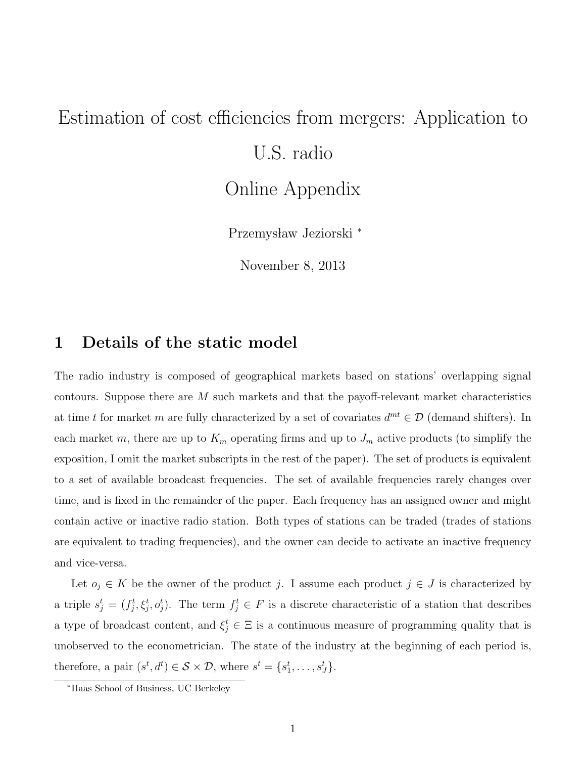# Estimation of cost efficiencies from mergers: Application to U.S. radio Online Appendix

Przemysław Jeziorski \*

November 8, 2013

# 1 Details of the static model

The radio industry is composed of geographical markets based on stations' overlapping signal contours. Suppose there are  $M$  such markets and that the payoff-relevant market characteristics at time t for market m are fully characterized by a set of covariates  $d^{mt} \in \mathcal{D}$  (demand shifters). In each market m, there are up to  $K_m$  operating firms and up to  $J_m$  active products (to simplify the exposition, I omit the market subscripts in the rest of the paper). The set of products is equivalent to a set of available broadcast frequencies. The set of available frequencies rarely changes over time, and is fixed in the remainder of the paper. Each frequency has an assigned owner and might contain active or inactive radio station. Both types of stations can be traded (trades of stations are equivalent to trading frequencies), and the owner can decide to activate an inactive frequency and vice-versa.

Let  $o_j \in K$  be the owner of the product j. I assume each product  $j \in J$  is characterized by a triple  $s_j^t = (f_j^t, \xi_j^t, o_j^t)$ . The term  $f_j^t \in F$  is a discrete characteristic of a station that describes a type of broadcast content, and  $\xi_j^t \in \Xi$  is a continuous measure of programming quality that is unobserved to the econometrician. The state of the industry at the beginning of each period is, therefore, a pair  $(s^t, d^t) \in S \times \mathcal{D}$ , where  $s^t = \{s_1^t, \ldots, s_J^t\}$ .

<sup>∗</sup>Haas School of Business, UC Berkeley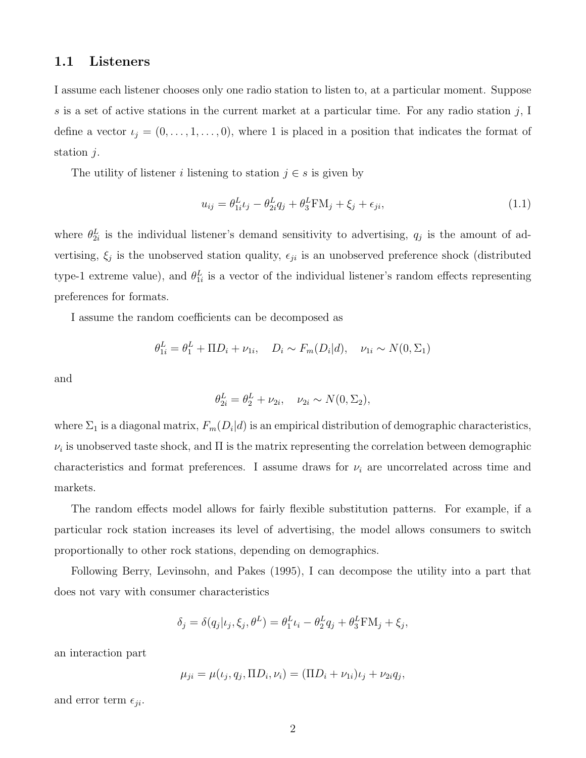### 1.1 Listeners

I assume each listener chooses only one radio station to listen to, at a particular moment. Suppose s is a set of active stations in the current market at a particular time. For any radio station  $j$ , I define a vector  $\iota_j = (0, \ldots, 1, \ldots, 0)$ , where 1 is placed in a position that indicates the format of station j.

The utility of listener *i* listening to station  $j \in s$  is given by

<span id="page-1-0"></span>
$$
u_{ij} = \theta_{1i}^L t_j - \theta_{2i}^L q_j + \theta_3^L \mathbf{F} M_j + \xi_j + \epsilon_{ji},
$$
\n(1.1)

where  $\theta_{2i}^L$  is the individual listener's demand sensitivity to advertising,  $q_j$  is the amount of advertising,  $\xi_j$  is the unobserved station quality,  $\epsilon_{ji}$  is an unobserved preference shock (distributed type-1 extreme value), and  $\theta_{1i}^L$  is a vector of the individual listener's random effects representing preferences for formats.

I assume the random coefficients can be decomposed as

$$
\theta_{1i}^{L} = \theta_{1}^{L} + \Pi D_{i} + \nu_{1i}, \quad D_{i} \sim F_{m}(D_{i}|d), \quad \nu_{1i} \sim N(0, \Sigma_{1})
$$

and

$$
\theta_{2i}^L = \theta_2^L + \nu_{2i}, \quad \nu_{2i} \sim N(0, \Sigma_2),
$$

where  $\Sigma_1$  is a diagonal matrix,  $F_m(D_i|d)$  is an empirical distribution of demographic characteristics,  $\nu_i$  is unobserved taste shock, and  $\Pi$  is the matrix representing the correlation between demographic characteristics and format preferences. I assume draws for  $\nu_i$  are uncorrelated across time and markets.

The random effects model allows for fairly flexible substitution patterns. For example, if a particular rock station increases its level of advertising, the model allows consumers to switch proportionally to other rock stations, depending on demographics.

Following Berry, Levinsohn, and Pakes (1995), I can decompose the utility into a part that does not vary with consumer characteristics

$$
\delta_j = \delta(q_j|\iota_j, \xi_j, \theta^L) = \theta_1^L \iota_i - \theta_2^L q_j + \theta_3^L \mathcal{F} \mathcal{M}_j + \xi_j,
$$

an interaction part

$$
\mu_{ji} = \mu(\iota_j, q_j, \Pi D_i, \nu_i) = (\Pi D_i + \nu_{1i})\iota_j + \nu_{2i}q_j,
$$

and error term  $\epsilon_{ji}$ .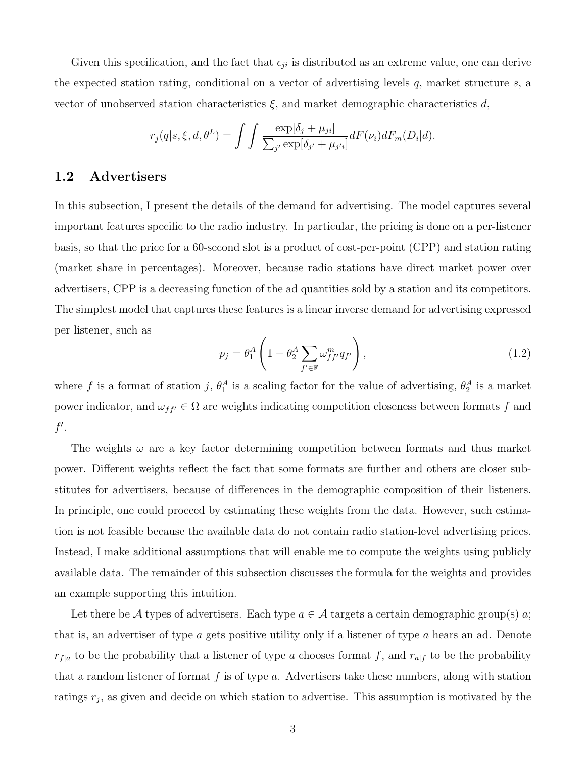Given this specification, and the fact that  $\epsilon_{ji}$  is distributed as an extreme value, one can derive the expected station rating, conditional on a vector of advertising levels  $q$ , market structure  $s$ , a vector of unobserved station characteristics  $\xi$ , and market demographic characteristics d,

$$
r_j(q|s,\xi,d,\theta^L) = \int \int \frac{\exp[\delta_j + \mu_{ji}]}{\sum_{j'} \exp[\delta_{j'} + \mu_{j'i}]} dF(\nu_i) dF_m(D_i|d).
$$

### <span id="page-2-1"></span>1.2 Advertisers

In this subsection, I present the details of the demand for advertising. The model captures several important features specific to the radio industry. In particular, the pricing is done on a per-listener basis, so that the price for a 60-second slot is a product of cost-per-point (CPP) and station rating (market share in percentages). Moreover, because radio stations have direct market power over advertisers, CPP is a decreasing function of the ad quantities sold by a station and its competitors. The simplest model that captures these features is a linear inverse demand for advertising expressed per listener, such as

<span id="page-2-0"></span>
$$
p_j = \theta_1^A \left( 1 - \theta_2^A \sum_{f' \in \mathbb{F}} \omega_{ff'}^m q_{f'} \right), \tag{1.2}
$$

where f is a format of station j,  $\theta_1^A$  is a scaling factor for the value of advertising,  $\theta_2^A$  is a market power indicator, and  $\omega_{ff'} \in \Omega$  are weights indicating competition closeness between formats f and  $f'.$ 

The weights  $\omega$  are a key factor determining competition between formats and thus market power. Different weights reflect the fact that some formats are further and others are closer substitutes for advertisers, because of differences in the demographic composition of their listeners. In principle, one could proceed by estimating these weights from the data. However, such estimation is not feasible because the available data do not contain radio station-level advertising prices. Instead, I make additional assumptions that will enable me to compute the weights using publicly available data. The remainder of this subsection discusses the formula for the weights and provides an example supporting this intuition.

Let there be A types of advertisers. Each type  $a \in \mathcal{A}$  targets a certain demographic group(s) a; that is, an advertiser of type  $a$  gets positive utility only if a listener of type  $a$  hears an ad. Denote  $r_{f|a}$  to be the probability that a listener of type a chooses format f, and  $r_{a|f}$  to be the probability that a random listener of format  $f$  is of type  $a$ . Advertisers take these numbers, along with station ratings  $r_j$ , as given and decide on which station to advertise. This assumption is motivated by the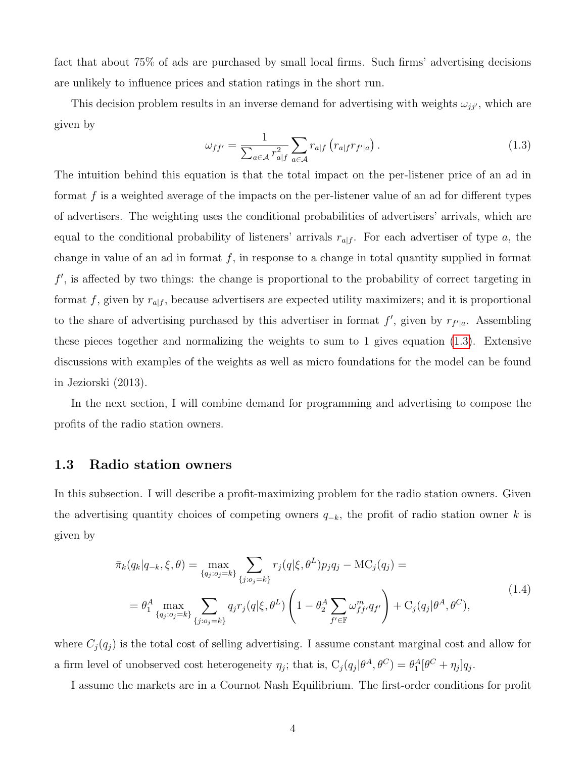fact that about 75% of ads are purchased by small local firms. Such firms' advertising decisions are unlikely to influence prices and station ratings in the short run.

<span id="page-3-0"></span>This decision problem results in an inverse demand for advertising with weights  $\omega_{jj'}$ , which are given by

$$
\omega_{ff'} = \frac{1}{\sum_{a \in \mathcal{A}} r_{a|f}^2} \sum_{a \in \mathcal{A}} r_{a|f} \left( r_{a|f} r_{f'|a} \right). \tag{1.3}
$$

The intuition behind this equation is that the total impact on the per-listener price of an ad in format  $f$  is a weighted average of the impacts on the per-listener value of an ad for different types of advertisers. The weighting uses the conditional probabilities of advertisers' arrivals, which are equal to the conditional probability of listeners' arrivals  $r_{a|f}$ . For each advertiser of type a, the change in value of an ad in format  $f$ , in response to a change in total quantity supplied in format f', is affected by two things: the change is proportional to the probability of correct targeting in format f, given by  $r_{a|f}$ , because advertisers are expected utility maximizers; and it is proportional to the share of advertising purchased by this advertiser in format  $f'$ , given by  $r_{f'|a}$ . Assembling these pieces together and normalizing the weights to sum to 1 gives equation [\(1.3\)](#page-3-0). Extensive discussions with examples of the weights as well as micro foundations for the model can be found in Jeziorski (2013).

In the next section, I will combine demand for programming and advertising to compose the profits of the radio station owners.

# 1.3 Radio station owners

In this subsection. I will describe a profit-maximizing problem for the radio station owners. Given the advertising quantity choices of competing owners  $q_{-k}$ , the profit of radio station owner k is given by

<span id="page-3-1"></span>
$$
\bar{\pi}_{k}(q_{k}|q_{-k},\xi,\theta) = \max_{\{q_{j}:o_{j}=k\}} \sum_{\{j:o_{j}=k\}} r_{j}(q|\xi,\theta^{L}) p_{j} q_{j} - \text{MC}_{j}(q_{j}) =
$$
\n
$$
= \theta_{1}^{A} \max_{\{q_{j}:o_{j}=k\}} \sum_{\{j:o_{j}=k\}} q_{j} r_{j}(q|\xi,\theta^{L}) \left(1 - \theta_{2}^{A} \sum_{f' \in \mathbb{F}} \omega_{ff'}^{m} q_{f'}\right) + \text{C}_{j}(q_{j}|\theta^{A},\theta^{C}),
$$
\n(1.4)

where  $C_j(q_j)$  is the total cost of selling advertising. I assume constant marginal cost and allow for a firm level of unobserved cost heterogeneity  $\eta_j$ ; that is,  $C_j(q_j|\theta^A, \theta^C) = \theta_1^A[\theta^C + \eta_j]q_j$ .

I assume the markets are in a Cournot Nash Equilibrium. The first-order conditions for profit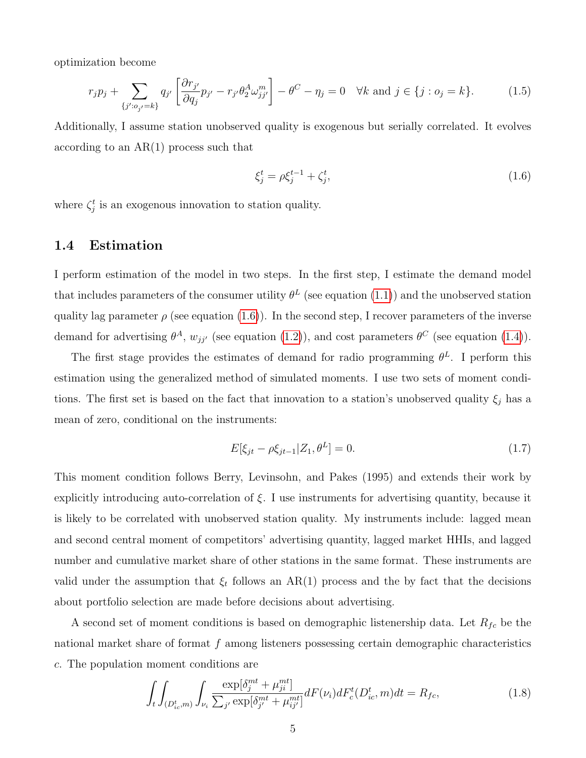optimization become

$$
r_j p_j + \sum_{\{j':o_{j'}=k\}} q_{j'} \left[ \frac{\partial r_{j'}}{\partial q_j} p_{j'} - r_{j'} \theta_2^A \omega_{jj'}^m \right] - \theta^C - \eta_j = 0 \quad \forall k \text{ and } j \in \{j: o_j = k\}. \tag{1.5}
$$

Additionally, I assume station unobserved quality is exogenous but serially correlated. It evolves according to an AR(1) process such that

<span id="page-4-0"></span>
$$
\xi_j^t = \rho \xi_j^{t-1} + \zeta_j^t,\tag{1.6}
$$

where  $\zeta_j^t$  is an exogenous innovation to station quality.

### 1.4 Estimation

I perform estimation of the model in two steps. In the first step, I estimate the demand model that includes parameters of the consumer utility  $\theta^L$  (see equation [\(1.1\)](#page-1-0)) and the unobserved station quality lag parameter  $\rho$  (see equation [\(1.6\)](#page-4-0)). In the second step, I recover parameters of the inverse demand for advertising  $\theta^A$ ,  $w_{jj'}$  (see equation [\(1.2\)](#page-2-0)), and cost parameters  $\theta^C$  (see equation [\(1.4\)](#page-3-1)).

The first stage provides the estimates of demand for radio programming  $\theta^L$ . I perform this estimation using the generalized method of simulated moments. I use two sets of moment conditions. The first set is based on the fact that innovation to a station's unobserved quality  $\xi_j$  has a mean of zero, conditional on the instruments:

$$
E[\xi_{jt} - \rho \xi_{jt-1} | Z_1, \theta^L] = 0.
$$
\n(1.7)

This moment condition follows Berry, Levinsohn, and Pakes (1995) and extends their work by explicitly introducing auto-correlation of  $\xi$ . I use instruments for advertising quantity, because it is likely to be correlated with unobserved station quality. My instruments include: lagged mean and second central moment of competitors' advertising quantity, lagged market HHIs, and lagged number and cumulative market share of other stations in the same format. These instruments are valid under the assumption that  $\xi_t$  follows an AR(1) process and the by fact that the decisions about portfolio selection are made before decisions about advertising.

A second set of moment conditions is based on demographic listenership data. Let  $R_{fc}$  be the national market share of format f among listeners possessing certain demographic characteristics c. The population moment conditions are

$$
\int_{t} \int_{(D_{ic}^{t}, m)} \int_{\nu_{i}} \frac{\exp[\delta_{j}^{mt} + \mu_{ji}^{mt}]}{\sum_{j'} \exp[\delta_{j'}^{mt} + \mu_{ij'}^{mt}]} dF(\nu_{i}) dF_{c}^{t}(D_{ic}^{t}, m) dt = R_{fc},
$$
\n(1.8)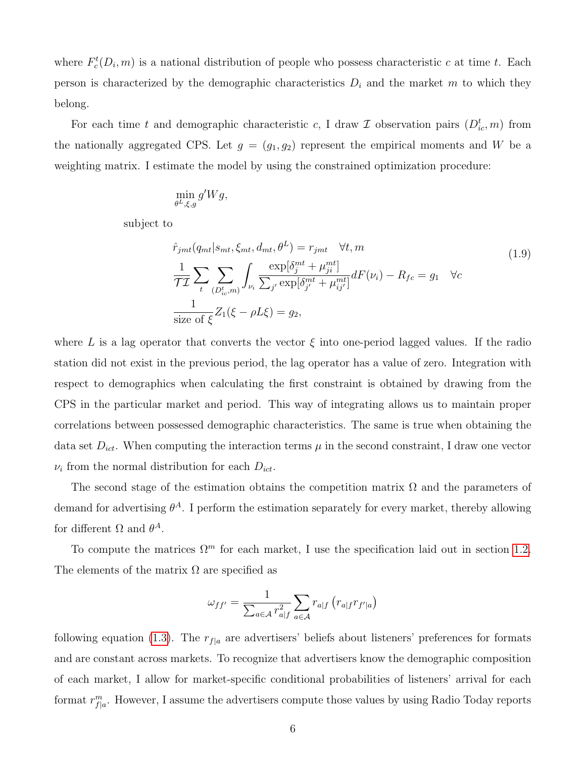where  $F_c^t(D_i, m)$  is a national distribution of people who possess characteristic c at time t. Each person is characterized by the demographic characteristics  $D_i$  and the market m to which they belong.

For each time t and demographic characteristic c, I draw  $\mathcal I$  observation pairs  $(D^t_{ic}, m)$  from the nationally aggregated CPS. Let  $g = (g_1, g_2)$  represent the empirical moments and W be a weighting matrix. I estimate the model by using the constrained optimization procedure:

$$
\min_{\theta^L,\xi,g}g'Wg,
$$

subject to

$$
\hat{r}_{jmt}(q_{mt}|s_{mt}, \xi_{mt}, d_{mt}, \theta^L) = r_{jmt} \quad \forall t, m
$$
\n
$$
\frac{1}{\mathcal{T}\mathcal{I}} \sum_{t} \sum_{(D_{ic}^t, m)} \int_{\nu_i} \frac{\exp[\delta_j^{mt} + \mu_{ji}^{mt}]}{\sum_{j'} \exp[\delta_{j'}^{mt} + \mu_{ij'}^{mt}]} dF(\nu_i) - R_{fc} = g_1 \quad \forall c
$$
\n
$$
\frac{1}{\text{size of } \xi} Z_1(\xi - \rho L \xi) = g_2,
$$
\n(1.9)

where L is a lag operator that converts the vector  $\xi$  into one-period lagged values. If the radio station did not exist in the previous period, the lag operator has a value of zero. Integration with respect to demographics when calculating the first constraint is obtained by drawing from the CPS in the particular market and period. This way of integrating allows us to maintain proper correlations between possessed demographic characteristics. The same is true when obtaining the data set  $D_{ict}$ . When computing the interaction terms  $\mu$  in the second constraint, I draw one vector  $\nu_i$  from the normal distribution for each  $D_{ict}$ .

The second stage of the estimation obtains the competition matrix  $\Omega$  and the parameters of demand for advertising  $\theta^A$ . I perform the estimation separately for every market, thereby allowing for different  $\Omega$  and  $\theta^A$ .

To compute the matrices  $\Omega^m$  for each market. I use the specification laid out in section [1.2.](#page-2-1) The elements of the matrix  $\Omega$  are specified as

$$
\omega_{ff'} = \frac{1}{\sum_{a \in \mathcal{A}} r_{a|f}^2} \sum_{a \in \mathcal{A}} r_{a|f} (r_{a|f} r_{f'|a})
$$

following equation [\(1.3\)](#page-3-0). The  $r_{f|a}$  are advertisers' beliefs about listeners' preferences for formats and are constant across markets. To recognize that advertisers know the demographic composition of each market, I allow for market-specific conditional probabilities of listeners' arrival for each format  $r_{f|a}^m$ . However, I assume the advertisers compute those values by using Radio Today reports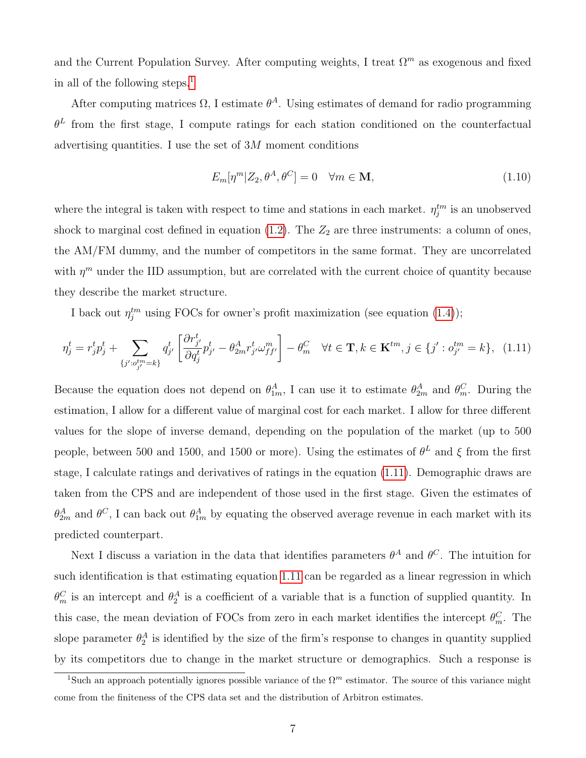and the Current Population Survey. After computing weights, I treat  $\Omega^m$  as exogenous and fixed in all of the following steps.[1](#page-6-0)

After computing matrices  $\Omega$ , I estimate  $\theta^A$ . Using estimates of demand for radio programming  $\theta^L$  from the first stage, I compute ratings for each station conditioned on the counterfactual advertising quantities. I use the set of  $3M$  moment conditions

<span id="page-6-1"></span>
$$
E_m[\eta^m | Z_2, \theta^A, \theta^C] = 0 \quad \forall m \in \mathbf{M},\tag{1.10}
$$

where the integral is taken with respect to time and stations in each market.  $\eta_j^{tm}$  is an unobserved shock to marginal cost defined in equation [\(1.2\)](#page-2-0). The  $Z_2$  are three instruments: a column of ones, the AM/FM dummy, and the number of competitors in the same format. They are uncorrelated with  $\eta^m$  under the IID assumption, but are correlated with the current choice of quantity because they describe the market structure.

I back out  $\eta_j^{tm}$  using FOCs for owner's profit maximization (see equation [\(1.4\)](#page-3-1));

$$
\eta_j^t = r_j^t p_j^t + \sum_{\{j': o_{j'}^{tm} = k\}} q_{j'}^t \left[ \frac{\partial r_{j'}^t}{\partial q_j^t} p_{j'}^t - \theta_{2m}^A r_{j'}^t \omega_{ff'}^m \right] - \theta_m^C \quad \forall t \in \mathbf{T}, k \in \mathbf{K}^{tm}, j \in \{j': o_{j'}^{tm} = k\}, \tag{1.11}
$$

Because the equation does not depend on  $\theta_{1m}^A$ , I can use it to estimate  $\theta_{2m}^A$  and  $\theta_m^C$ . During the estimation, I allow for a different value of marginal cost for each market. I allow for three different values for the slope of inverse demand, depending on the population of the market (up to 500 people, between 500 and 1500, and 1500 or more). Using the estimates of  $\theta^L$  and  $\xi$  from the first stage, I calculate ratings and derivatives of ratings in the equation [\(1.11\)](#page-6-1). Demographic draws are taken from the CPS and are independent of those used in the first stage. Given the estimates of  $\theta_{2m}^A$  and  $\theta^C$ , I can back out  $\theta_{1m}^A$  by equating the observed average revenue in each market with its predicted counterpart.

Next I discuss a variation in the data that identifies parameters  $\theta^A$  and  $\theta^C$ . The intuition for such identification is that estimating equation [1.11](#page-6-1) can be regarded as a linear regression in which  $\theta_m^C$  is an intercept and  $\theta_2^A$  is a coefficient of a variable that is a function of supplied quantity. In this case, the mean deviation of FOCs from zero in each market identifies the intercept  $\theta_m^C$ . The slope parameter  $\theta_2^A$  is identified by the size of the firm's response to changes in quantity supplied by its competitors due to change in the market structure or demographics. Such a response is

<span id="page-6-0"></span><sup>&</sup>lt;sup>1</sup>Such an approach potentially ignores possible variance of the  $\Omega^m$  estimator. The source of this variance might come from the finiteness of the CPS data set and the distribution of Arbitron estimates.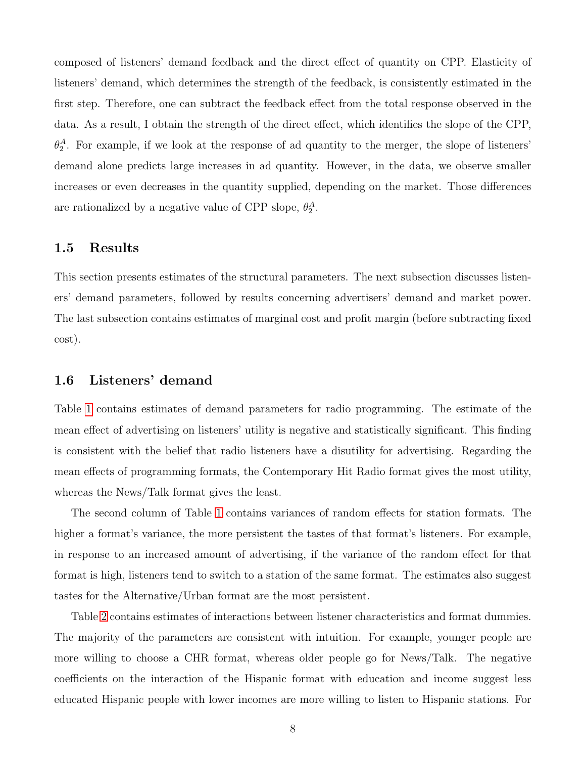composed of listeners' demand feedback and the direct effect of quantity on CPP. Elasticity of listeners' demand, which determines the strength of the feedback, is consistently estimated in the first step. Therefore, one can subtract the feedback effect from the total response observed in the data. As a result, I obtain the strength of the direct effect, which identifies the slope of the CPP,  $\theta_2^A$ . For example, if we look at the response of ad quantity to the merger, the slope of listeners' demand alone predicts large increases in ad quantity. However, in the data, we observe smaller increases or even decreases in the quantity supplied, depending on the market. Those differences are rationalized by a negative value of CPP slope,  $\theta_2^A$ .

### 1.5 Results

This section presents estimates of the structural parameters. The next subsection discusses listeners' demand parameters, followed by results concerning advertisers' demand and market power. The last subsection contains estimates of marginal cost and profit margin (before subtracting fixed cost).

# 1.6 Listeners' demand

Table [1](#page-8-0) contains estimates of demand parameters for radio programming. The estimate of the mean effect of advertising on listeners' utility is negative and statistically significant. This finding is consistent with the belief that radio listeners have a disutility for advertising. Regarding the mean effects of programming formats, the Contemporary Hit Radio format gives the most utility, whereas the News/Talk format gives the least.

The second column of Table [1](#page-8-0) contains variances of random effects for station formats. The higher a format's variance, the more persistent the tastes of that format's listeners. For example, in response to an increased amount of advertising, if the variance of the random effect for that format is high, listeners tend to switch to a station of the same format. The estimates also suggest tastes for the Alternative/Urban format are the most persistent.

Table [2](#page-9-0) contains estimates of interactions between listener characteristics and format dummies. The majority of the parameters are consistent with intuition. For example, younger people are more willing to choose a CHR format, whereas older people go for News/Talk. The negative coefficients on the interaction of the Hispanic format with education and income suggest less educated Hispanic people with lower incomes are more willing to listen to Hispanic stations. For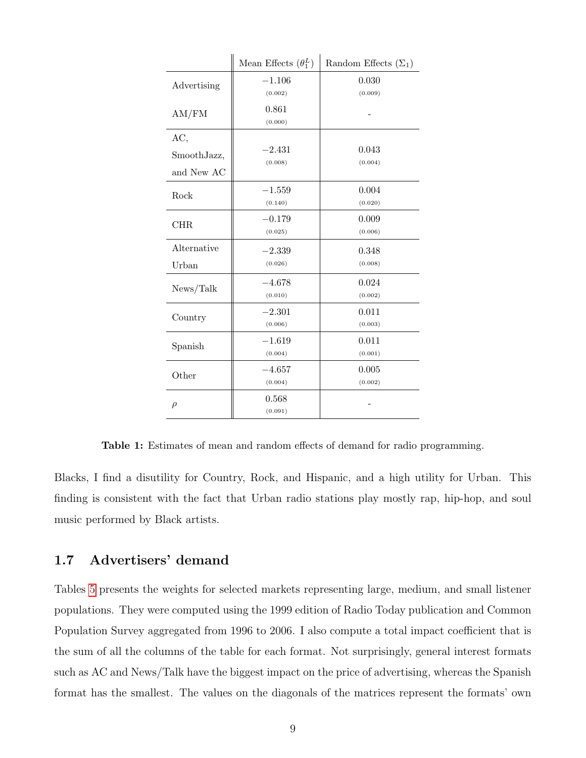<span id="page-8-0"></span>

|             | Mean Effects $(\theta_1^L)$ | Random Effects $(\Sigma_1)$ |
|-------------|-----------------------------|-----------------------------|
| Advertising | $-1.106$<br>(0.002)         | 0.030<br>(0.009)            |
| AM/FM       | 0.861<br>(0.000)            |                             |
| AC,         |                             |                             |
| SmoothJazz, | $-2.431$<br>(0.008)         | 0.043<br>(0.004)            |
| and New AC  |                             |                             |
| Rock        | $-1.559$                    | 0.004                       |
|             | (0.140)                     | (0.020)                     |
| <b>CHR</b>  | $-0.179$                    | 0.009                       |
|             | (0.025)                     | (0.006)                     |
| Alternative | $-2.339$                    | 0.348                       |
| Urban       | (0.026)                     | (0.008)                     |
| News/Talk   | $-4.678$                    | 0.024                       |
|             | (0.010)                     | (0.002)                     |
| Country     | $-2.301$                    | 0.011                       |
|             | (0.006)                     | (0.003)                     |
| Spanish     | $-1.619$                    | 0.011                       |
|             | (0.004)                     | (0.001)                     |
| Other       | $-4.657$                    | 0.005                       |
|             | (0.004)                     | (0.002)                     |
| $\rho$      | 0.568                       |                             |
|             | (0.091)                     |                             |

Table 1: Estimates of mean and random effects of demand for radio programming.

Blacks, I find a disutility for Country, Rock, and Hispanic, and a high utility for Urban. This finding is consistent with the fact that Urban radio stations play mostly rap, hip-hop, and soul music performed by Black artists.

# 1.7 Advertisers' demand

Tables [5](#page-12-0) presents the weights for selected markets representing large, medium, and small listener populations. They were computed using the 1999 edition of Radio Today publication and Common Population Survey aggregated from 1996 to 2006. I also compute a total impact coefficient that is the sum of all the columns of the table for each format. Not surprisingly, general interest formats such as AC and News/Talk have the biggest impact on the price of advertising, whereas the Spanish format has the smallest. The values on the diagonals of the matrices represent the formats' own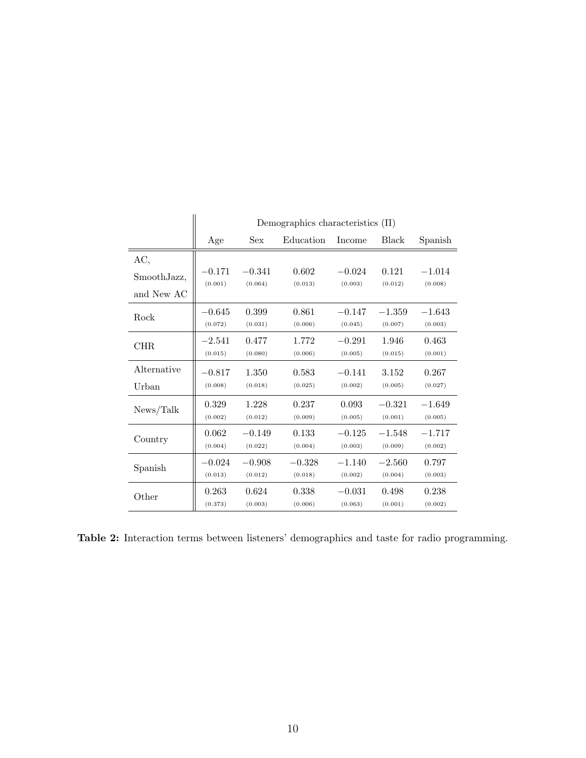<span id="page-9-0"></span>

|             |                     |                     | Demographics characteristics $(\Pi)$ |                     |                     |                     |
|-------------|---------------------|---------------------|--------------------------------------|---------------------|---------------------|---------------------|
|             | Age                 | <b>Sex</b>          | Education                            | Income              | Black               | Spanish             |
| AC,         |                     |                     |                                      |                     |                     |                     |
| SmoothJazz, | $-0.171$<br>(0.001) | $-0.341$<br>(0.064) | 0.602<br>(0.013)                     | $-0.024$<br>(0.003) | 0.121<br>(0.012)    | $-1.014$<br>(0.008) |
| and New AC  |                     |                     |                                      |                     |                     |                     |
| Rock        | $-0.645$<br>(0.072) | 0.399<br>(0.031)    | 0.861<br>(0.006)                     | $-0.147$<br>(0.045) | $-1.359$<br>(0.007) | $-1.643$<br>(0.003) |
|             |                     |                     |                                      |                     |                     |                     |
| CHR.        | $-2.541$<br>(0.015) | 0.477<br>(0.080)    | 1.772<br>(0.006)                     | $-0.291$<br>(0.005) | 1.946<br>(0.015)    | 0.463<br>(0.001)    |
| Alternative | $-0.817$            | 1.350               | 0.583                                | $-0.141$            | 3.152               | 0.267               |
| Urban       | (0.008)             | (0.018)             | (0.025)                              | (0.002)             | (0.005)             | (0.027)             |
| News/Talk   | 0.329               | 1.228               | 0.237                                | 0.093               | $-0.321$            | $-1.649$            |
|             | (0.002)             | (0.012)             | (0.009)                              | (0.005)             | (0.001)             | (0.005)             |
| Country     | 0.062               | $-0.149$            | 0.133                                | $-0.125$            | $-1.548$            | $-1.717$            |
|             | (0.004)             | (0.022)             | (0.004)                              | (0.003)             | (0.009)             | (0.002)             |
| Spanish     | $-0.024$            | $-0.908$            | $-0.328$                             | $-1.140$            | $-2.560$            | 0.797               |
|             | (0.013)             | (0.012)             | (0.018)                              | (0.002)             | (0.004)             | (0.003)             |
| Other       | 0.263<br>(0.373)    | 0.624<br>(0.003)    | 0.338<br>(0.006)                     | $-0.031$<br>(0.063) | 0.498<br>(0.001)    | 0.238<br>(0.002)    |

Table 2: Interaction terms between listeners' demographics and taste for radio programming.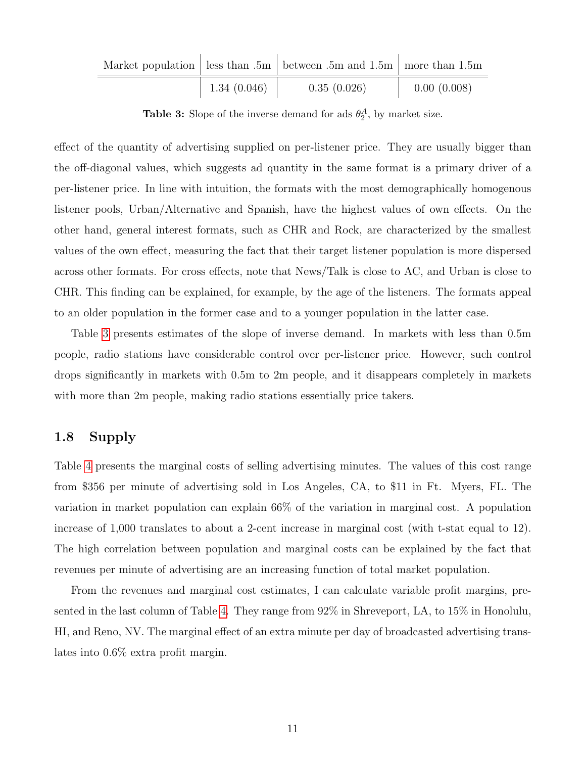<span id="page-10-0"></span>

|                      | Market population   less than $.5m$   between $.5m$ and $1.5m$   more than $1.5m$ |             |
|----------------------|-----------------------------------------------------------------------------------|-------------|
| $\perp$ 1.34 (0.046) | 0.35(0.026)                                                                       | 0.00(0.008) |

**Table 3:** Slope of the inverse demand for ads  $\theta_2^A$ , by market size.

effect of the quantity of advertising supplied on per-listener price. They are usually bigger than the off-diagonal values, which suggests ad quantity in the same format is a primary driver of a per-listener price. In line with intuition, the formats with the most demographically homogenous listener pools, Urban/Alternative and Spanish, have the highest values of own effects. On the other hand, general interest formats, such as CHR and Rock, are characterized by the smallest values of the own effect, measuring the fact that their target listener population is more dispersed across other formats. For cross effects, note that News/Talk is close to AC, and Urban is close to CHR. This finding can be explained, for example, by the age of the listeners. The formats appeal to an older population in the former case and to a younger population in the latter case.

Table [3](#page-10-0) presents estimates of the slope of inverse demand. In markets with less than 0.5m people, radio stations have considerable control over per-listener price. However, such control drops significantly in markets with 0.5m to 2m people, and it disappears completely in markets with more than 2m people, making radio stations essentially price takers.

# 1.8 Supply

Table [4](#page-11-0) presents the marginal costs of selling advertising minutes. The values of this cost range from \$356 per minute of advertising sold in Los Angeles, CA, to \$11 in Ft. Myers, FL. The variation in market population can explain 66% of the variation in marginal cost. A population increase of 1,000 translates to about a 2-cent increase in marginal cost (with t-stat equal to 12). The high correlation between population and marginal costs can be explained by the fact that revenues per minute of advertising are an increasing function of total market population.

From the revenues and marginal cost estimates, I can calculate variable profit margins, presented in the last column of Table [4.](#page-11-0) They range from 92% in Shreveport, LA, to 15% in Honolulu, HI, and Reno, NV. The marginal effect of an extra minute per day of broadcasted advertising translates into 0.6% extra profit margin.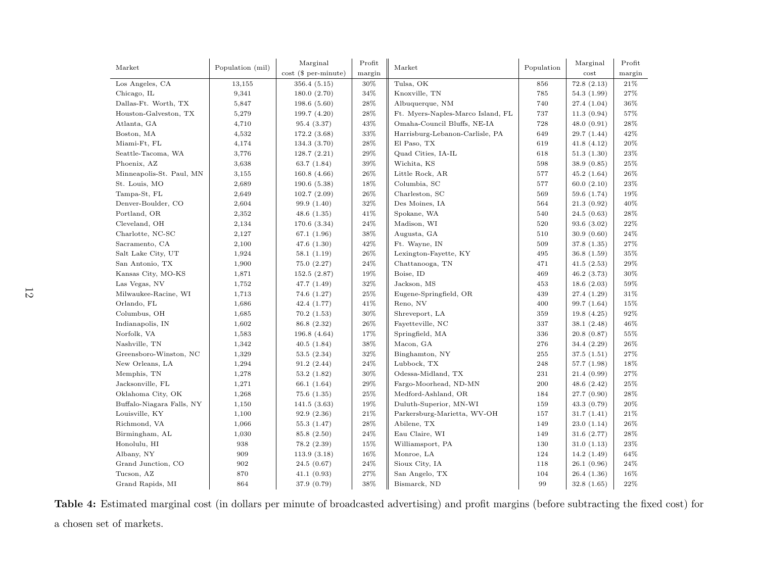<span id="page-11-0"></span>

| Market                    | Population (mil) | Marginal                  | Profit | Market                            | Population | Marginal    | Profit |
|---------------------------|------------------|---------------------------|--------|-----------------------------------|------------|-------------|--------|
|                           |                  | $cost$ ( $$ per-minute$ ) | margin |                                   |            | cost        | margin |
| Los Angeles, CA           | 13,155           | 356.4(5.15)               | 30%    | Tulsa, OK                         | 856        | 72.8(2.13)  | 21%    |
| Chicago, IL               | 9,341            | 180.0(2.70)               | 34%    | Knoxville, TN                     | 785        | 54.3(1.99)  | 27%    |
| Dallas-Ft. Worth, TX      | 5,847            | 198.6(5.60)               | 28%    | Albuquerque, NM                   | 740        | 27.4(1.04)  | 36%    |
| Houston-Galveston, TX     | 5,279            | 199.7 (4.20)              | 28%    | Ft. Myers-Naples-Marco Island, FL | 737        | 11.3(0.94)  | 57%    |
| Atlanta, GA               | 4,710            | 95.4 (3.37)               | 43%    | Omaha-Council Bluffs, NE-IA       | 728        | 48.0(0.91)  | 28%    |
| Boston, MA                | 4,532            | 172.2 (3.68)              | 33%    | Harrisburg-Lebanon-Carlisle, PA   | 649        | 29.7(1.44)  | 42%    |
| Miami-Ft, FL              | 4,174            | 134.3 (3.70)              | 28%    | El Paso, TX                       | 619        | 41.8(4.12)  | 20%    |
| Seattle-Tacoma, WA        | 3,776            | 128.7(2.21)               | 29%    | Quad Cities, IA-IL                | 618        | 51.3(1.30)  | 23%    |
| Phoenix, AZ               | 3,638            | 63.7 (1.84)               | 39%    | Wichita, KS                       | 598        | 38.9(0.85)  | 25%    |
| Minneapolis-St. Paul, MN  | 3,155            | 160.8(4.66)               | 26%    | Little Rock, AR                   | 577        | 45.2(1.64)  | 26%    |
| St. Louis, MO             | 2,689            | 190.6(5.38)               | 18%    | Columbia, SC                      | 577        | 60.0(2.10)  | 23%    |
| Tampa-St, FL              | 2,649            | 102.7(2.09)               | 26%    | Charleston, SC                    | 569        | 59.6 (1.74) | 19%    |
| Denver-Boulder, CO        | 2,604            | 99.9 (1.40)               | 32%    | Des Moines, IA                    | 564        | 21.3(0.92)  | 40%    |
| Portland, OR              | 2,352            | 48.6 $(1.35)$             | 41%    | Spokane, WA                       | 540        | 24.5(0.63)  | 28%    |
| Cleveland, OH             | 2,134            | 170.6(3.34)               | 24%    | Madison, WI                       | 520        | 93.6(3.02)  | 22%    |
| Charlotte, NC-SC          | 2,127            | 67.1 (1.96)               | 38%    | Augusta, GA                       | 510        | 30.9(0.60)  | 24%    |
| Sacramento, CA            | 2,100            | 47.6(1.30)                | 42%    | Ft. Wayne, IN                     | 509        | 37.8(1.35)  | 27%    |
| Salt Lake City, UT        | 1,924            | 58.1(1.19)                | 26%    | Lexington-Fayette, KY             | 495        | 36.8(1.59)  | 35%    |
| San Antonio, TX           | 1,900            | 75.0(2.27)                | 24%    | Chattanooga, TN                   | 471        | 41.5(2.53)  | 29%    |
| Kansas City, MO-KS        | 1,871            | 152.5(2.87)               | $19\%$ | Boise, ID                         | 469        | 46.2(3.73)  | 30%    |
| Las Vegas, NV             | 1,752            | 47.7 (1.49)               | 32%    | Jackson, MS                       | 453        | 18.6(2.03)  | 59%    |
| Milwaukee-Racine, WI      | 1,713            | 74.6 (1.27)               | 25%    | Eugene-Springfield, OR            | 439        | 27.4 (1.29) | 31%    |
| Orlando, FL               | 1,686            | 42.4 (1.77)               | 41%    | Reno, NV                          | 400        | 99.7(1.64)  | 15%    |
| Columbus, OH              | 1,685            | 70.2(1.53)                | $30\%$ | Shreveport, LA                    | 359        | 19.8(4.25)  | 92%    |
| Indianapolis, IN          | 1,602            | 86.8 (2.32)               | 26%    | Fayetteville, NC                  | 337        | 38.1(2.48)  | 46%    |
| Norfolk, VA               | 1,583            | 196.8 (4.64)              | 17%    | Springfield, MA                   | 336        | 20.8(0.87)  | 55%    |
| Nashville, TN             | 1,342            | 40.5(1.84)                | 38%    | Macon, GA                         | 276        | 34.4 (2.29) | 26%    |
| Greensboro-Winston, NC    | 1,329            | 53.5(2.34)                | 32%    | Binghamton, NY                    | 255        | 37.5(1.51)  | 27%    |
| New Orleans, LA           | 1,294            | 91.2(2.44)                | 24%    | Lubbock, TX                       | 248        | 57.7(1.98)  | 18%    |
| Memphis, TN               | 1,278            | 53.2 (1.82)               | 30%    | Odessa-Midland, TX                | 231        | 21.4(0.99)  | 27%    |
| Jacksonville, FL          | 1,271            | 66.1 (1.64)               | 29%    | Fargo-Moorhead, ND-MN             | 200        | 48.6(2.42)  | 25%    |
| Oklahoma City, OK         | 1,268            | 75.6 (1.35)               | 25%    | Medford-Ashland, OR               | 184        | 27.7(0.90)  | 28%    |
| Buffalo-Niagara Falls, NY | 1,150            | 141.5(3.63)               | 19%    | Duluth-Superior, MN-WI            | 159        | 43.3(0.79)  | $20\%$ |
| Louisville, KY            | 1,100            | 92.9(2.36)                | 21%    | Parkersburg-Marietta, WV-OH       | 157        | 31.7(1.41)  | 21%    |
| Richmond, VA              | 1,066            | 55.3(1.47)                | 28%    | Abilene, TX                       | 149        | 23.0(1.14)  | 26%    |
| Birmingham, AL            | 1,030            | 85.8 (2.50)               | 24%    | Eau Claire, WI                    | 149        | 31.6(2.77)  | 28%    |
| Honolulu, HI              | 938              | 78.2 (2.39)               | 15%    | Williamsport, PA                  | 130        | 31.0(1.13)  | 23%    |
| Albany, NY                | 909              | 113.9(3.18)               | 16%    | Monroe, LA                        | 124        | 14.2(1.49)  | 64%    |
| Grand Junction, CO        | 902              | 24.5(0.67)                | 24%    | Sioux City, IA                    | 118        | 26.1(0.96)  | 24%    |
| Tucson, AZ                | 870              | 41.1(0.93)                | 27%    | San Angelo, TX                    | 104        | 26.4(1.36)  | 16%    |
| Grand Rapids, MI          | 864              | 37.9 (0.79)               | 38%    | Bismarck, ND                      | 99         | 32.8(1.65)  | 22%    |

Table 4: Estimated marginal cost (in dollars per minute of broadcasted advertising) and profit margins (before subtracting the fixed cost) for<sup>a</sup> chosen set of markets.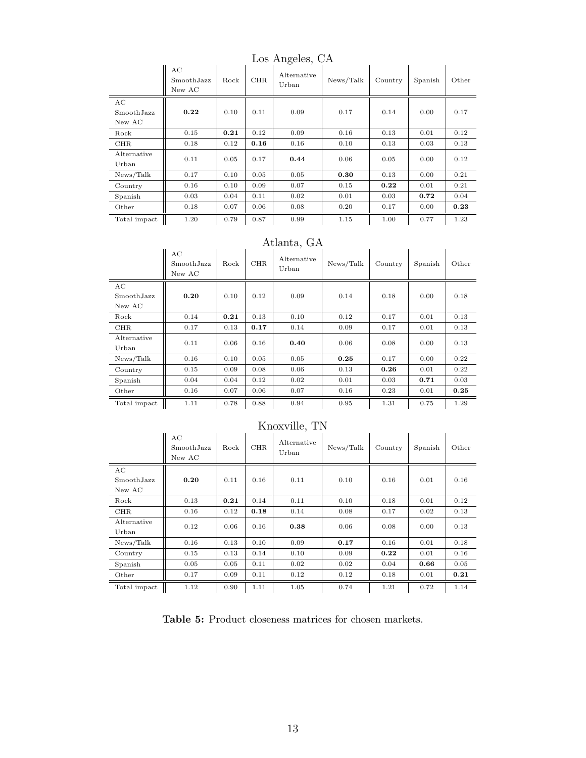<span id="page-12-0"></span>

|                            | AC<br>Smooth.Jazz<br>New AC | Rock | <b>CHR</b> | $\overline{\phantom{0}}$<br>Alternative<br>Urban | News/Talk | Country | Spanish | Other |
|----------------------------|-----------------------------|------|------------|--------------------------------------------------|-----------|---------|---------|-------|
| AC<br>SmoothJazz<br>New AC | 0.22                        | 0.10 | 0.11       | 0.09                                             | 0.17      | 0.14    | 0.00    | 0.17  |
| Rock                       | 0.15                        | 0.21 | 0.12       | 0.09                                             | 0.16      | 0.13    | 0.01    | 0.12  |
| <b>CHR</b>                 | 0.18                        | 0.12 | 0.16       | 0.16                                             | 0.10      | 0.13    | 0.03    | 0.13  |
| Alternative<br>Urban       | 0.11                        | 0.05 | 0.17       | 0.44                                             | 0.06      | 0.05    | 0.00    | 0.12  |
| News/Talk                  | 0.17                        | 0.10 | 0.05       | 0.05                                             | 0.30      | 0.13    | 0.00    | 0.21  |
| Country                    | 0.16                        | 0.10 | 0.09       | 0.07                                             | 0.15      | 0.22    | 0.01    | 0.21  |
| Spanish                    | 0.03                        | 0.04 | 0.11       | 0.02                                             | 0.01      | 0.03    | 0.72    | 0.04  |
| Other                      | 0.18                        | 0.07 | 0.06       | 0.08                                             | 0.20      | 0.17    | 0.00    | 0.23  |
| Total impact               | 1.20                        | 0.79 | 0.87       | 0.99                                             | 1.15      | 1.00    | 0.77    | 1.23  |

Los Angeles, CA

### Atlanta, GA

| Atlalita, GA               |                            |      |            |                      |           |         |         |       |  |
|----------------------------|----------------------------|------|------------|----------------------|-----------|---------|---------|-------|--|
|                            | AC<br>SmoothJazz<br>New AC | Rock | <b>CHR</b> | Alternative<br>Urban | News/Talk | Country | Spanish | Other |  |
| AC<br>SmoothJazz<br>New AC | 0.20                       | 0.10 | 0.12       | 0.09                 | 0.14      | 0.18    | 0.00    | 0.18  |  |
| Rock                       | 0.14                       | 0.21 | 0.13       | 0.10                 | 0.12      | 0.17    | 0.01    | 0.13  |  |
| <b>CHR</b>                 | 0.17                       | 0.13 | 0.17       | 0.14                 | 0.09      | 0.17    | 0.01    | 0.13  |  |
| Alternative<br>Urban       | 0.11                       | 0.06 | 0.16       | 0.40                 | 0.06      | 0.08    | 0.00    | 0.13  |  |
| News/Talk                  | 0.16                       | 0.10 | 0.05       | 0.05                 | 0.25      | 0.17    | 0.00    | 0.22  |  |
| Country                    | 0.15                       | 0.09 | 0.08       | 0.06                 | 0.13      | 0.26    | 0.01    | 0.22  |  |
| Spanish                    | 0.04                       | 0.04 | 0.12       | 0.02                 | 0.01      | 0.03    | 0.71    | 0.03  |  |
| Other                      | 0.16                       | 0.07 | 0.06       | 0.07                 | 0.16      | 0.23    | 0.01    | 0.25  |  |
| Total impact               | 1.11                       | 0.78 | 0.88       | 0.94                 | 0.95      | 1.31    | 0.75    | 1.29  |  |

| TITIOVATITIO, TTA          |                            |      |            |                      |           |         |         |       |  |  |
|----------------------------|----------------------------|------|------------|----------------------|-----------|---------|---------|-------|--|--|
|                            | AC<br>SmoothJazz<br>New AC | Rock | <b>CHR</b> | Alternative<br>Urban | News/Talk | Country | Spanish | Other |  |  |
| AC<br>SmoothJazz<br>New AC | 0.20                       | 0.11 | 0.16       | 0.11                 | 0.10      | 0.16    | 0.01    | 0.16  |  |  |
| Rock                       | 0.13                       | 0.21 | 0.14       | 0.11                 | 0.10      | 0.18    | 0.01    | 0.12  |  |  |
| <b>CHR</b>                 | 0.16                       | 0.12 | 0.18       | 0.14                 | 0.08      | 0.17    | 0.02    | 0.13  |  |  |
| Alternative<br>Urban       | 0.12                       | 0.06 | 0.16       | 0.38                 | 0.06      | 0.08    | 0.00    | 0.13  |  |  |
| News/Talk                  | 0.16                       | 0.13 | 0.10       | 0.09                 | 0.17      | 0.16    | 0.01    | 0.18  |  |  |
| Country                    | 0.15                       | 0.13 | 0.14       | 0.10                 | 0.09      | 0.22    | 0.01    | 0.16  |  |  |
| Spanish                    | 0.05                       | 0.05 | 0.11       | 0.02                 | 0.02      | 0.04    | 0.66    | 0.05  |  |  |
| Other                      | 0.17                       | 0.09 | 0.11       | 0.12                 | 0.12      | 0.18    | 0.01    | 0.21  |  |  |
| Total impact               | 1.12                       | 0.90 | 1.11       | 1.05                 | 0.74      | 1.21    | 0.72    | 1.14  |  |  |

### Knoxville, TN

Table 5: Product closeness matrices for chosen markets.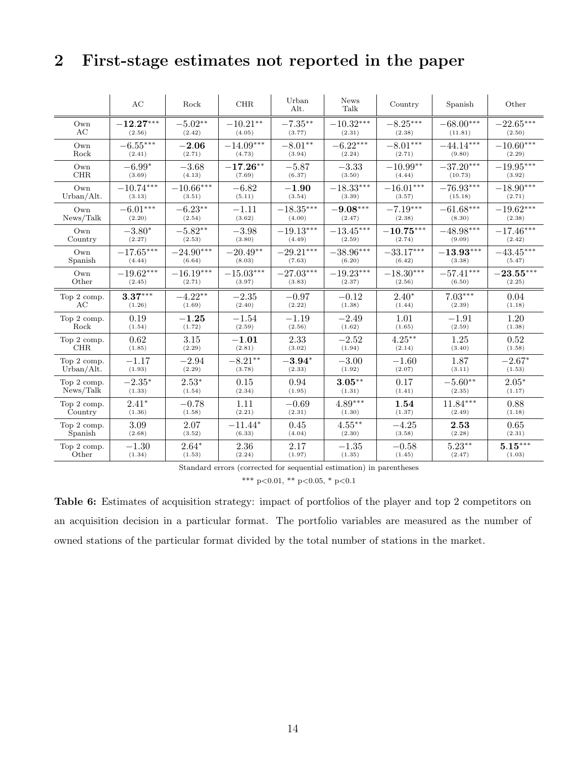# 2 First-stage estimates not reported in the paper

|             | AC          | Rock        | CHR         | Urban<br>Alt. | <b>News</b><br>Talk | Country     | Spanish     | Other       |
|-------------|-------------|-------------|-------------|---------------|---------------------|-------------|-------------|-------------|
| Own         | $-12.27***$ | $-5.02**$   | $-10.21**$  | $-7.35***$    | $-10.32***$         | $-8.25***$  | $-68.00***$ | $-22.65***$ |
| AC          | (2.56)      | (2.42)      | (4.05)      | (3.77)        | (2.31)              | (2.38)      | (11.81)     | (2.50)      |
| Own         | $-6.55***$  | $-2.06$     | $-14.09***$ | $-8.01**$     | $-6.22***$          | $-8.01***$  | $-44.14***$ | $-10.60***$ |
| Rock        | (2.41)      | (2.71)      | (4.73)      | (3.94)        | (2.24)              | (2.71)      | (9.80)      | (2.29)      |
| Own         | $-6.99*$    | $-3.68$     | $-17.26**$  | $-5.87$       | $-3.33$             | $-10.99**$  | $-37.20***$ | $-19.95***$ |
| <b>CHR</b>  | (3.69)      | (4.13)      | (7.69)      | (6.37)        | (3.50)              | (4.44)      | (10.73)     | (3.92)      |
| Own         | $-10.74***$ | $-10.66***$ | $-6.82$     | $-1.90$       | $-18.33***$         | $-16.01***$ | $-76.93***$ | $-18.90***$ |
| Urban/Alt.  | (3.13)      | (3.51)      | (5.11)      | (3.54)        | (3.39)              | (3.57)      | (15.18)     | (2.71)      |
| Own         | $-6.01***$  | $-6.23**$   | $-1.11$     | $-18.35***$   | $-9.08***$          | $-7.19***$  | $-61.68***$ | $-19.62***$ |
| News/Talk   | (2.20)      | (2.54)      | (3.62)      | (4.00)        | (2.47)              | (2.38)      | (8.30)      | (2.38)      |
| Own         | $-3.80*$    | $-5.82**$   | $-3.98$     | $-19.13***$   | $-13.45***$         | $-10.75***$ | $-48.98***$ | $-17.46***$ |
| Country     | (2.27)      | (2.53)      | (3.80)      | (4.49)        | (2.59)              | (2.74)      | (9.09)      | (2.42)      |
| Own         | $-17.65***$ | $-24.90***$ | $-20.49**$  | $-29.21***$   | $-38.96***$         | $-33.17***$ | $-13.93***$ | $-43.45***$ |
| Spanish     | (4.44)      | (6.64)      | (8.03)      | (7.63)        | (6.20)              | (6.42)      | (3.38)      | (5.47)      |
| Own         | $-19.62***$ | $-16.19***$ | $-15.03***$ | $-27.03***$   | $-19.23***$         | $-18.30***$ | $-57.41***$ | $-23.55***$ |
| Other       | (2.45)      | (2.71)      | (3.97)      | (3.83)        | (2.37)              | (2.56)      | (6.50)      | (2.25)      |
| Top 2 comp. | $3.37***$   | $-4.22**$   | $-2.35$     | $-0.97$       | $-0.12$             | $2.40*$     | $7.03***$   | 0.04        |
| AС          | (1.26)      | (1.69)      | (2.40)      | (2.22)        | (1.38)              | (1.44)      | (2.39)      | (1.18)      |
| Top 2 comp. | 0.19        | $-1.25$     | $-1.54$     | $-1.19$       | $-2.49$             | 1.01        | $-1.91$     | 1.20        |
| Rock        | (1.54)      | (1.72)      | (2.59)      | (2.56)        | (1.62)              | (1.65)      | (2.59)      | (1.38)      |
| Top 2 comp. | 0.62        | 3.15        | $-1.01$     | 2.33          | $-2.52$             | $4.25***$   | 1.25        | 0.52        |
| <b>CHR</b>  | (1.85)      | (2.29)      | (2.81)      | (3.02)        | (1.94)              | (2.14)      | (3.40)      | (1.58)      |
| Top 2 comp. | $-1.17$     | $-2.94$     | $-8.21**$   | $-3.94*$      | $-3.00$             | $-1.60$     | 1.87        | $-2.67*$    |
| Urban/Alt.  | (1.93)      | (2.29)      | (3.78)      | (2.33)        | (1.92)              | (2.07)      | (3.11)      | (1.53)      |
| Top 2 comp. | $-2.35*$    | $2.53*$     | 0.15        | 0.94          | $3.05***$           | 0.17        | $-5.60**$   | $2.05*$     |
| News/Talk   | (1.33)      | (1.54)      | (2.34)      | (1.95)        | (1.31)              | (1.41)      | (2.35)      | (1.17)      |
| Top 2 comp. | $2.41*$     | $-0.78$     | 1.11        | $-0.69$       | $4.89***$           | 1.54        | $11.84***$  | 0.88        |
| Country     | (1.36)      | (1.58)      | (2.21)      | (2.31)        | (1.30)              | (1.37)      | (2.49)      | (1.18)      |
| Top 2 comp. | 3.09        | 2.07        | $-11.44*$   | 0.45          | $4.55***$           | $-4.25$     | 2.53        | 0.65        |
| Spanish     | (2.68)      | (3.52)      | (6.33)      | (4.04)        | (2.30)              | (3.58)      | (2.28)      | (2.31)      |
| Top 2 comp. | $-1.30$     | $2.64*$     | 2.36        | 2.17          | $-1.35$             | $-0.58$     | $5.23***$   | $5.15***$   |
| Other       | (1.34)      | (1.53)      | (2.24)      | (1.97)        | (1.35)              | (1.45)      | (2.47)      | (1.03)      |

Standard errors (corrected for sequential estimation) in parentheses

\*\*\* p<0.01, \*\* p<0.05, \* p<0.1

Table 6: Estimates of acquisition strategy: impact of portfolios of the player and top 2 competitors on an acquisition decision in a particular format. The portfolio variables are measured as the number of owned stations of the particular format divided by the total number of stations in the market.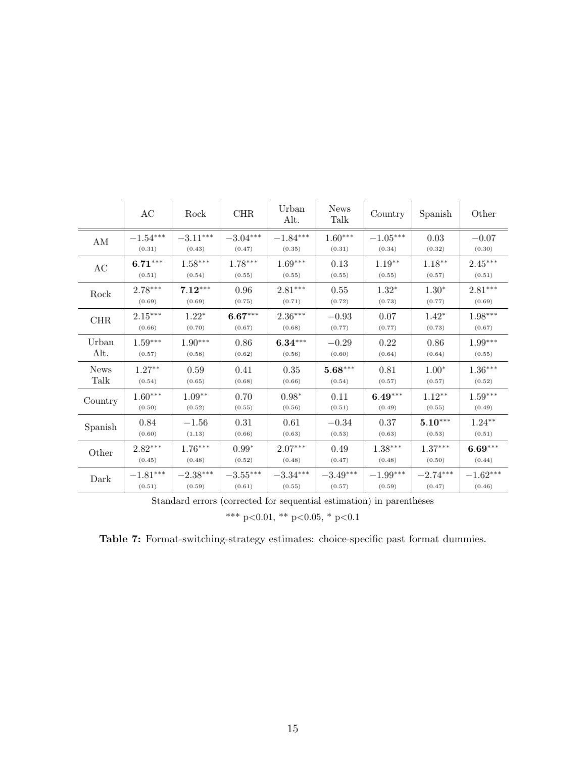|             | AC                     | Rock                   | CHR                    | Urban<br>Alt.          | <b>News</b><br>Talk   | Country                | Spanish    | Other                  |
|-------------|------------------------|------------------------|------------------------|------------------------|-----------------------|------------------------|------------|------------------------|
| ΑM          | $-1.54^{\ast\ast\ast}$ | $-3.11^{\ast\ast\ast}$ | $-3.04^{\ast\ast\ast}$ | $-1.84^{\ast\ast\ast}$ | $1.60^{\ast\ast\ast}$ | $-1.05^{\ast\ast\ast}$ | $\,0.03\,$ | $-0.07$                |
|             | (0.31)                 | (0.43)                 | (0.47)                 | (0.35)                 | (0.31)                | (0.34)                 | (0.32)     | (0.30)                 |
| AC          | $6.71***$              | $1.58***$              | $1.78***$              | $1.69***$              | 0.13                  | $1.19**$               | $1.18***$  | $2.45***$              |
|             | (0.51)                 | (0.54)                 | (0.55)                 | (0.55)                 | (0.55)                | (0.55)                 | (0.57)     | (0.51)                 |
| Rock        | $2.78***$              | $7.12***$              | 0.96                   | $2.81***$              | 0.55                  | $1.32*$                | $1.30*$    | $2.81***$              |
|             | (0.69)                 | (0.69)                 | (0.75)                 | (0.71)                 | (0.72)                | (0.73)                 | (0.77)     | (0.69)                 |
| <b>CHR</b>  | $2.15***$              | $1.22*$                | $6.67***$              | $2.36***$              | $-0.93$               | 0.07                   | $1.42*$    | 1.98***                |
|             | (0.66)                 | (0.70)                 | (0.67)                 | (0.68)                 | (0.77)                | (0.77)                 | (0.73)     | (0.67)                 |
| Urban       | $1.59***$              | $1.90***$              | 0.86                   | $6.34***$              | $-0.29$               | 0.22                   | 0.86       | $1.99***$              |
| Alt.        | (0.57)                 | (0.58)                 | (0.62)                 | (0.56)                 | (0.60)                | (0.64)                 | (0.64)     | (0.55)                 |
| <b>News</b> | $1.27**$               | 0.59                   | 0.41                   | 0.35                   | $5.68***$             | 0.81                   | $1.00*$    | $1.36***$              |
| Talk        | (0.54)                 | (0.65)                 | (0.68)                 | (0.66)                 | (0.54)                | (0.57)                 | (0.57)     | (0.52)                 |
| Country     | $1.60***$              | $1.09**$               | 0.70                   | $0.98*$                | 0.11                  | $6.49***$              | $1.12***$  | $1.59***$              |
|             | (0.50)                 | (0.52)                 | (0.55)                 | (0.56)                 | (0.51)                | (0.49)                 | (0.55)     | (0.49)                 |
| Spanish     | 0.84                   | $-1.56$                | 0.31                   | 0.61                   | $-0.34$               | 0.37                   | $5.10***$  | $1.24***$              |
|             | (0.60)                 | (1.13)                 | (0.66)                 | (0.63)                 | (0.53)                | (0.63)                 | (0.53)     | (0.51)                 |
| Other       | $2.82***$              | $1.76***$              | $0.99*$                | $2.07***$              | 0.49                  | $1.38***$              | $1.37***$  | $6.69***$              |
|             | (0.45)                 | (0.48)                 | (0.52)                 | (0.48)                 | (0.47)                | (0.48)                 | (0.50)     | (0.44)                 |
| Dark        | $-1.81^{\ast\ast\ast}$ | $-2.38^{\ast\ast\ast}$ | $-3.55***$             | $-3.34***$             | $-3.49***$            | $-1.99***$             | $-2.74***$ | $-1.62^{\ast\ast\ast}$ |
|             | (0.51)                 | (0.59)                 | (0.61)                 | (0.55)                 | (0.57)                | (0.59)                 | (0.47)     | (0.46)                 |

Standard errors (corrected for sequential estimation) in parentheses

\*\*\* p<0.01, \*\* p<0.05, \* p<0.1

Table 7: Format-switching-strategy estimates: choice-specific past format dummies.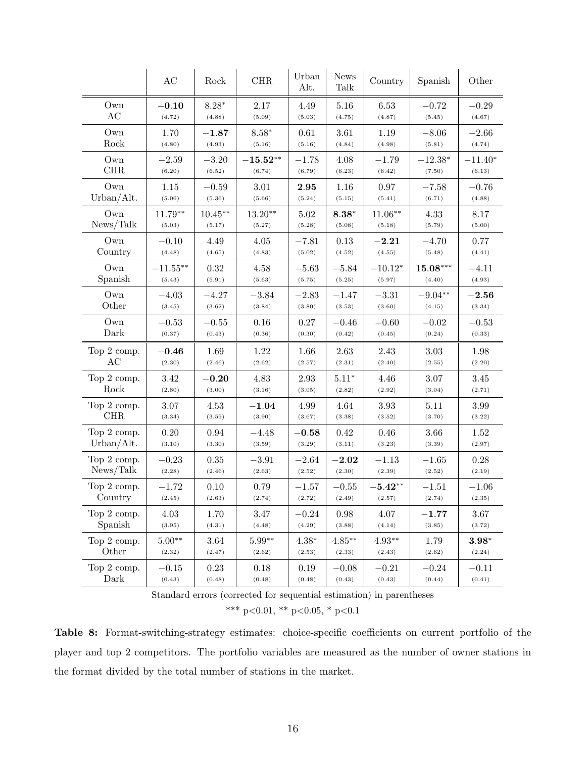|             | AC          | Rock       | <b>CHR</b>    | Urban<br>Alt. | <b>News</b><br>Talk | Country                   | Spanish     | Other       |
|-------------|-------------|------------|---------------|---------------|---------------------|---------------------------|-------------|-------------|
| Own         | $-0.10$     | $8.28*$    | 2.17          | 4.49          | 5.16                | 6.53                      | $-0.72$     | $-0.29$     |
| AC          | (4.72)      | (4.88)     | (5.09)        | (5.03)        | (4.75)              | (4.87)                    | (5.45)      | (4.67)      |
| Own         | 1.70        | $-1.87$    | $8.58*$       | 0.61          | 3.61                | 1.19                      | $-8.06$     | $-2.66$     |
| Rock        | (4.80)      | (4.93)     | (5.16)        | (5.16)        | (4.84)              | (4.98)                    | (5.81)      | (4.74)      |
| Own         | $-2.59$     | $-3.20$    | $-15.52^{**}$ | $^{-1.78}\,$  | 4.08                | $-1.79$                   | $-12.38*$   | $-11.40*$   |
| <b>CHR</b>  | (6.20)      | (6.52)     | (6.74)        | (6.79)        | (6.23)              | (6.42)                    | (7.50)      | (6.13)      |
| Own         | 1.15        | $-0.59$    | 3.01          | 2.95          | 1.16                | 0.97                      | $-7.58$     | $-0.76$     |
| Urban/Alt.  | (5.06)      | (5.36)     | (5.66)        | (5.24)        | (5.15)              | (5.41)                    | (6.71)      | (4.88)      |
| Own         | $11.79**$   | $10.45***$ | $13.20**$     | 5.02          | $8.38*$             | $11.06**$                 | 4.33        | 8.17        |
| News/Talk   | (5.03)      | (5.17)     | (5.27)        | (5.28)        | (5.08)              | (5.18)                    | (5.79)      | (5.00)      |
| Own         | $-0.10$     | 4.49       | 4.05          | $-7.81$       | 0.13                | $\textcolor{blue}{-2.21}$ | $-4.70$     | 0.77        |
| Country     | (4.48)      | (4.65)     | (4.83)        | (5.02)        | (4.52)              | (4.55)                    | (5.48)      | (4.41)      |
| Own         | $-11.55***$ | 0.32       | 4.58          | $-5.63\,$     | $-5.84$             | $-10.12*$                 | $15.08***$  | $-4.11$     |
| Spanish     | (5.43)      | (5.91)     | (5.63)        | (5.75)        | (5.25)              | (5.97)                    | (4.40)      | (4.93)      |
| Own         | $-4.03$     | $-4.27$    | $-3.84$       | $-2.83$       | $-1.47$             | $-3.31$                   | $-9.04**$   | $\bf -2.56$ |
| Other       | (3.45)      | (3.62)     | (3.84)        | (3.80)        | (3.53)              | (3.60)                    | (4.15)      | (3.34)      |
| Own         | $-0.53$     | $-0.55$    | 0.16          | 0.27          | $-0.46$             | $-0.60$                   | $-0.02$     | $-0.53$     |
| Dark        | (0.37)      | (0.43)     | (0.36)        | (0.30)        | (0.42)              | (0.45)                    | (0.24)      | (0.33)      |
| Top 2 comp. | $-0.46$     | 1.69       | 1.22          | 1.66          | 2.63                | 2.43                      | 3.03        | 1.98        |
| AC          | (2.30)      | (2.46)     | (2.62)        | (2.57)        | (2.31)              | (2.40)                    | (2.55)      | (2.20)      |
| Top 2 comp. | 3.42        | $-0.20\,$  | 4.83          | 2.93          | $5.11*$             | 4.46                      | 3.07        | 3.45        |
| Rock        | (2.80)      | (3.00)     | (3.16)        | (3.05)        | (2.82)              | (2.92)                    | (3.04)      | (2.71)      |
| Top 2 comp. | $3.07\,$    | 4.53       | $-1.04$       | 4.99          | 4.64                | 3.93                      | 5.11        | 3.99        |
| CHR         | (3.34)      | (3.59)     | (3.90)        | (3.67)        | (3.38)              | (3.52)                    | (3.70)      | (3.22)      |
| Top 2 comp. | 0.20        | 0.94       | $-4.48$       | $-0.58$       | 0.42                | 0.46                      | 3.66        | 1.52        |
| Urban/Alt.  | (3.10)      | (3.30)     | (3.59)        | (3.29)        | (3.11)              | (3.23)                    | (3.39)      | (2.97)      |
| Top 2 comp. | $-0.23$     | 0.35       | $-3.91$       | $-2.64$       | $-2.02$             | $-1.13$                   | $-1.65\,$   | 0.28        |
| News/Talk   | (2.28)      | (2.46)     | (2.63)        | (2.52)        | (2.30)              | (2.39)                    | (2.52)      | (2.19)      |
| Top 2 comp. | $-1.72$     | 0.10       | 0.79          | $-1.57$       | $-0.55$             | $-5.42**$                 | $-1.51\,$   | $-1.06$     |
| Country     | (2.45)      | (2.63)     | (2.74)        | (2.72)        | (2.49)              | (2.57)                    | (2.74)      | (2.35)      |
| Top 2 comp. | 4.03        | 1.70       | 3.47          | $-0.24$       | 0.98                | 4.07                      | $\bf -1.77$ | 3.67        |
| Spanish     | (3.95)      | (4.31)     | (4.48)        | (4.29)        | (3.88)              | (4.14)                    | (3.85)      | (3.72)      |
| Top 2 comp. | $5.00**$    | 3.64       | $5.99**$      | $4.38*$       | $4.85***$           | $4.93**$                  | 1.79        | $3.98*$     |
| Other       | (2.32)      | (2.47)     | (2.62)        | (2.53)        | (2.33)              | (2.43)                    | (2.62)      | (2.24)      |
| Top 2 comp. | $-0.15$     | 0.23       | 0.18          | 0.19          | $-0.08$             | $-0.21$                   | $-0.24$     | $-0.11$     |
| Dark        | (0.43)      | (0.48)     | (0.48)        | (0.48)        | (0.43)              | (0.43)                    | (0.44)      | (0.41)      |

Standard errors (corrected for sequential estimation) in parentheses

\*\*\* p<0.01, \*\* p<0.05, \* p<0.1

Table 8: Format-switching-strategy estimates: choice-specific coefficients on current portfolio of the player and top 2 competitors. The portfolio variables are measured as the number of owner stations in the format divided by the total number of stations in the market.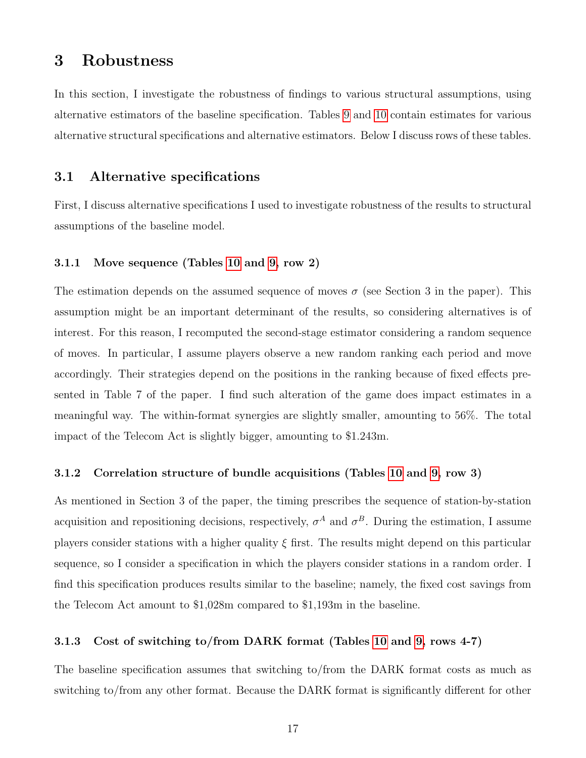# 3 Robustness

In this section, I investigate the robustness of findings to various structural assumptions, using alternative estimators of the baseline specification. Tables [9](#page-19-0) and [10](#page-20-0) contain estimates for various alternative structural specifications and alternative estimators. Below I discuss rows of these tables.

### 3.1 Alternative specifications

First, I discuss alternative specifications I used to investigate robustness of the results to structural assumptions of the baseline model.

#### 3.1.1 Move sequence (Tables [10](#page-20-0) and [9,](#page-19-0) row 2)

The estimation depends on the assumed sequence of moves  $\sigma$  (see Section 3 in the paper). This assumption might be an important determinant of the results, so considering alternatives is of interest. For this reason, I recomputed the second-stage estimator considering a random sequence of moves. In particular, I assume players observe a new random ranking each period and move accordingly. Their strategies depend on the positions in the ranking because of fixed effects presented in Table 7 of the paper. I find such alteration of the game does impact estimates in a meaningful way. The within-format synergies are slightly smaller, amounting to 56%. The total impact of the Telecom Act is slightly bigger, amounting to \$1.243m.

### 3.1.2 Correlation structure of bundle acquisitions (Tables [10](#page-20-0) and [9,](#page-19-0) row 3)

As mentioned in Section 3 of the paper, the timing prescribes the sequence of station-by-station acquisition and repositioning decisions, respectively,  $\sigma^A$  and  $\sigma^B$ . During the estimation, I assume players consider stations with a higher quality  $\xi$  first. The results might depend on this particular sequence, so I consider a specification in which the players consider stations in a random order. I find this specification produces results similar to the baseline; namely, the fixed cost savings from the Telecom Act amount to \$1,028m compared to \$1,193m in the baseline.

### 3.1.3 Cost of switching to/from DARK format (Tables [10](#page-20-0) and [9,](#page-19-0) rows 4-7)

The baseline specification assumes that switching to/from the DARK format costs as much as switching to/from any other format. Because the DARK format is significantly different for other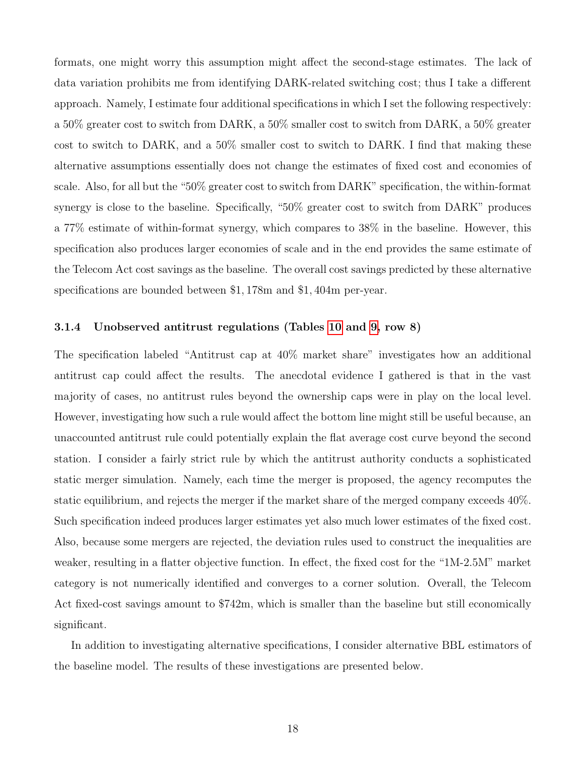formats, one might worry this assumption might affect the second-stage estimates. The lack of data variation prohibits me from identifying DARK-related switching cost; thus I take a different approach. Namely, I estimate four additional specifications in which I set the following respectively: a 50% greater cost to switch from DARK, a 50% smaller cost to switch from DARK, a 50% greater cost to switch to DARK, and a 50% smaller cost to switch to DARK. I find that making these alternative assumptions essentially does not change the estimates of fixed cost and economies of scale. Also, for all but the "50% greater cost to switch from DARK" specification, the within-format synergy is close to the baseline. Specifically, "50% greater cost to switch from DARK" produces a 77% estimate of within-format synergy, which compares to 38% in the baseline. However, this specification also produces larger economies of scale and in the end provides the same estimate of the Telecom Act cost savings as the baseline. The overall cost savings predicted by these alternative specifications are bounded between \$1, 178m and \$1, 404m per-year.

### 3.1.4 Unobserved antitrust regulations (Tables [10](#page-20-0) and [9,](#page-19-0) row 8)

The specification labeled "Antitrust cap at 40% market share" investigates how an additional antitrust cap could affect the results. The anecdotal evidence I gathered is that in the vast majority of cases, no antitrust rules beyond the ownership caps were in play on the local level. However, investigating how such a rule would affect the bottom line might still be useful because, an unaccounted antitrust rule could potentially explain the flat average cost curve beyond the second station. I consider a fairly strict rule by which the antitrust authority conducts a sophisticated static merger simulation. Namely, each time the merger is proposed, the agency recomputes the static equilibrium, and rejects the merger if the market share of the merged company exceeds 40%. Such specification indeed produces larger estimates yet also much lower estimates of the fixed cost. Also, because some mergers are rejected, the deviation rules used to construct the inequalities are weaker, resulting in a flatter objective function. In effect, the fixed cost for the "1M-2.5M" market category is not numerically identified and converges to a corner solution. Overall, the Telecom Act fixed-cost savings amount to \$742m, which is smaller than the baseline but still economically significant.

In addition to investigating alternative specifications, I consider alternative BBL estimators of the baseline model. The results of these investigations are presented below.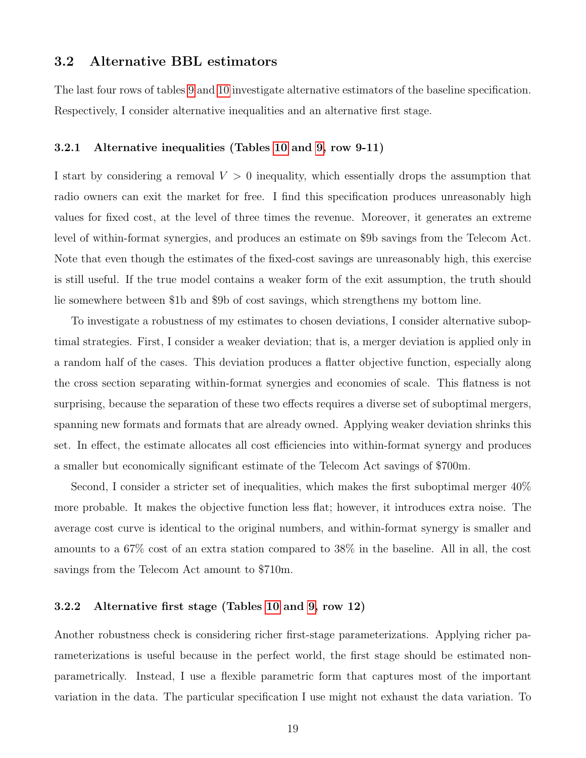# 3.2 Alternative BBL estimators

The last four rows of tables [9](#page-19-0) and [10](#page-20-0) investigate alternative estimators of the baseline specification. Respectively, I consider alternative inequalities and an alternative first stage.

### 3.2.1 Alternative inequalities (Tables [10](#page-20-0) and [9,](#page-19-0) row 9-11)

I start by considering a removal  $V > 0$  inequality, which essentially drops the assumption that radio owners can exit the market for free. I find this specification produces unreasonably high values for fixed cost, at the level of three times the revenue. Moreover, it generates an extreme level of within-format synergies, and produces an estimate on \$9b savings from the Telecom Act. Note that even though the estimates of the fixed-cost savings are unreasonably high, this exercise is still useful. If the true model contains a weaker form of the exit assumption, the truth should lie somewhere between \$1b and \$9b of cost savings, which strengthens my bottom line.

To investigate a robustness of my estimates to chosen deviations, I consider alternative suboptimal strategies. First, I consider a weaker deviation; that is, a merger deviation is applied only in a random half of the cases. This deviation produces a flatter objective function, especially along the cross section separating within-format synergies and economies of scale. This flatness is not surprising, because the separation of these two effects requires a diverse set of suboptimal mergers, spanning new formats and formats that are already owned. Applying weaker deviation shrinks this set. In effect, the estimate allocates all cost efficiencies into within-format synergy and produces a smaller but economically significant estimate of the Telecom Act savings of \$700m.

Second, I consider a stricter set of inequalities, which makes the first suboptimal merger 40% more probable. It makes the objective function less flat; however, it introduces extra noise. The average cost curve is identical to the original numbers, and within-format synergy is smaller and amounts to a 67% cost of an extra station compared to 38% in the baseline. All in all, the cost savings from the Telecom Act amount to \$710m.

#### 3.2.2 Alternative first stage (Tables [10](#page-20-0) and [9,](#page-19-0) row 12)

Another robustness check is considering richer first-stage parameterizations. Applying richer parameterizations is useful because in the perfect world, the first stage should be estimated nonparametrically. Instead, I use a flexible parametric form that captures most of the important variation in the data. The particular specification I use might not exhaust the data variation. To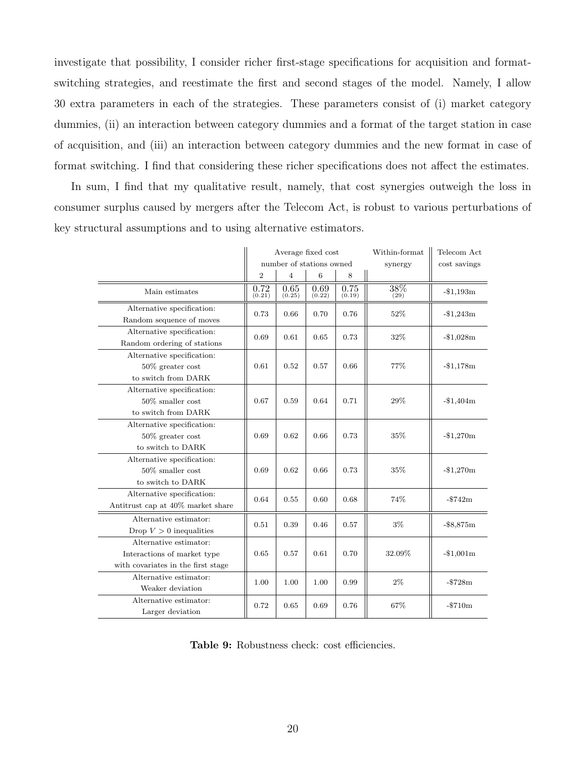investigate that possibility, I consider richer first-stage specifications for acquisition and formatswitching strategies, and reestimate the first and second stages of the model. Namely, I allow 30 extra parameters in each of the strategies. These parameters consist of (i) market category dummies, (ii) an interaction between category dummies and a format of the target station in case of acquisition, and (iii) an interaction between category dummies and the new format in case of format switching. I find that considering these richer specifications does not affect the estimates.

In sum, I find that my qualitative result, namely, that cost synergies outweigh the loss in consumer surplus caused by mergers after the Telecom Act, is robust to various perturbations of key structural assumptions and to using alternative estimators.

<span id="page-19-0"></span>

|                                                                                             | Average fixed cost |                          |                |                | Within-format | Telecom Act     |
|---------------------------------------------------------------------------------------------|--------------------|--------------------------|----------------|----------------|---------------|-----------------|
|                                                                                             |                    | number of stations owned |                |                | synergy       | cost savings    |
|                                                                                             | $\overline{2}$     | $\overline{4}$           | 6              | 8              |               |                 |
| Main estimates                                                                              | 0.72<br>(0.21)     | 0.65<br>(0.25)           | 0.69<br>(0.22) | 0.75<br>(0.19) | 38%<br>(29)   | $-$1,193m$      |
| Alternative specification:<br>Random sequence of moves                                      | 0.73               | 0.66                     | 0.70           | 0.76           | 52%           | $-\$1,243m$     |
| Alternative specification:<br>Random ordering of stations                                   | 0.69               | 0.61                     | 0.65           | 0.73           | 32%           | $-$1,028m$      |
| Alternative specification:<br>$50\%$ greater cost<br>to switch from DARK                    | 0.61               | 0.52                     | 0.57           | 0.66           | 77%           | $-1,178m$       |
| Alternative specification:<br>$50\%$ smaller cost<br>to switch from DARK                    | 0.67               | 0.59                     | 0.64           | 0.71           | 29%           | $-\$1,404m$     |
| Alternative specification:<br>$50\%$ greater cost<br>to switch to DARK                      | 0.69               | 0.62                     | 0.66           | 0.73           | 35%           | $-$1,270m$      |
| Alternative specification:<br>$50\%$ smaller cost<br>to switch to DARK                      | 0.69               | 0.62                     | 0.66           | 0.73           | 35%           | $-$1,270m$      |
| Alternative specification:<br>Antitrust cap at 40% market share                             | 0.64               | 0.55                     | 0.60           | 0.68           | 74%           | $-$ \$742m      |
| Alternative estimator:<br>Drop $V > 0$ inequalities                                         | 0.51               | 0.39                     | 0.46           | 0.57           | $3\%$         | $-$ \$8,875 $m$ |
| Alternative estimator:<br>Interactions of market type<br>with covariates in the first stage | 0.65               | 0.57                     | 0.61           | 0.70           | 32.09%        | $-$1,001m$      |
| Alternative estimator:<br>Weaker deviation                                                  | 1.00               | 1.00                     | 1.00           | 0.99           | $2\%$         | $- $728m$       |
| Alternative estimator:<br>Larger deviation                                                  | 0.72               | 0.65                     | 0.69           | 0.76           | 67%           | $- $710m$       |

Table 9: Robustness check: cost efficiencies.